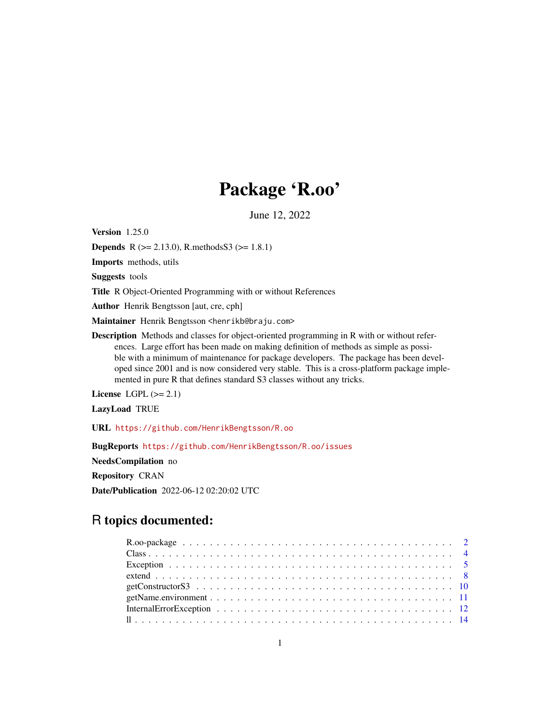# Package 'R.oo'

June 12, 2022

<span id="page-0-0"></span>Version 1.25.0

**Depends** R ( $>= 2.13.0$ ), R.methodsS3 ( $>= 1.8.1$ )

Imports methods, utils

Suggests tools

Title R Object-Oriented Programming with or without References

Author Henrik Bengtsson [aut, cre, cph]

Maintainer Henrik Bengtsson <henrikb@braju.com>

Description Methods and classes for object-oriented programming in R with or without references. Large effort has been made on making definition of methods as simple as possible with a minimum of maintenance for package developers. The package has been developed since 2001 and is now considered very stable. This is a cross-platform package implemented in pure R that defines standard S3 classes without any tricks.

License LGPL  $(>= 2.1)$ 

LazyLoad TRUE

URL <https://github.com/HenrikBengtsson/R.oo>

BugReports <https://github.com/HenrikBengtsson/R.oo/issues>

NeedsCompilation no

Repository CRAN

Date/Publication 2022-06-12 02:20:02 UTC

# R topics documented: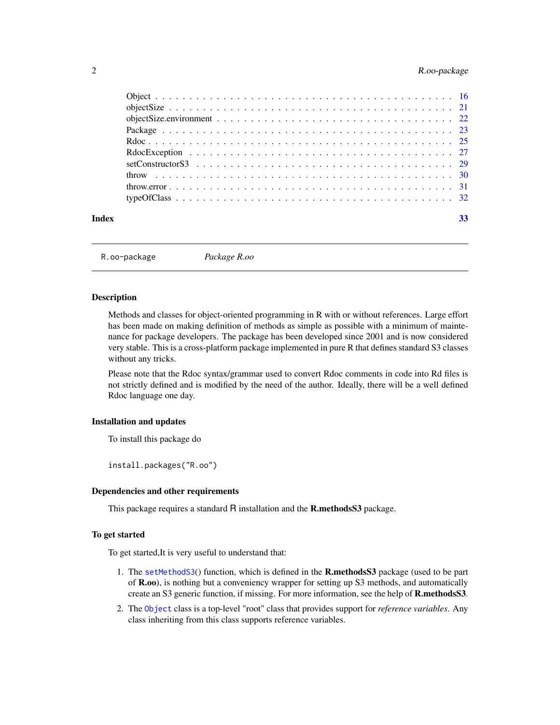# <span id="page-1-0"></span>2 R.oo-package

R.oo-package *Package R.oo*

#### Description

Methods and classes for object-oriented programming in R with or without references. Large effort has been made on making definition of methods as simple as possible with a minimum of maintenance for package developers. The package has been developed since 2001 and is now considered very stable. This is a cross-platform package implemented in pure R that defines standard S3 classes without any tricks.

Please note that the Rdoc syntax/grammar used to convert Rdoc comments in code into Rd files is not strictly defined and is modified by the need of the author. Ideally, there will be a well defined Rdoc language one day.

#### Installation and updates

To install this package do

install.packages("R.oo")

#### Dependencies and other requirements

This package requires a standard R installation and the **R.methodsS3** package.

#### To get started

To get started,It is very useful to understand that:

- 1. The [setMethodS3](#page-0-0)() function, which is defined in the R.methodsS3 package (used to be part of R.oo), is nothing but a conveniency wrapper for setting up S3 methods, and automatically create an S3 generic function, if missing. For more information, see the help of R.methodsS3.
- 2. The [Object](#page-15-1) class is a top-level "root" class that provides support for *reference variables*. Any class inheriting from this class supports reference variables.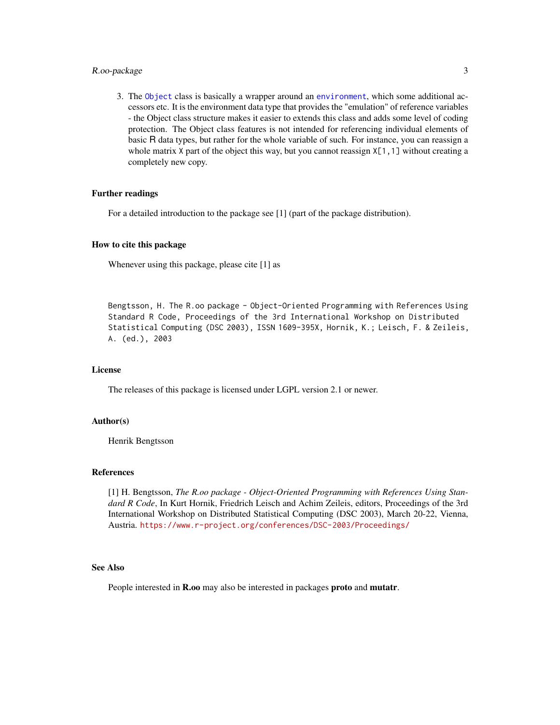# <span id="page-2-0"></span>R.oo-package 3

3. The [Object](#page-15-1) class is basically a wrapper around an [environment](#page-0-0), which some additional accessors etc. It is the environment data type that provides the "emulation" of reference variables - the Object class structure makes it easier to extends this class and adds some level of coding protection. The Object class features is not intended for referencing individual elements of basic R data types, but rather for the whole variable of such. For instance, you can reassign a whole matrix X part of the object this way, but you cannot reassign  $X[1, 1]$  without creating a completely new copy.

#### Further readings

For a detailed introduction to the package see [1] (part of the package distribution).

#### How to cite this package

Whenever using this package, please cite [1] as

Bengtsson, H. The R.oo package - Object-Oriented Programming with References Using Standard R Code, Proceedings of the 3rd International Workshop on Distributed Statistical Computing (DSC 2003), ISSN 1609-395X, Hornik, K.; Leisch, F. & Zeileis, A. (ed.), 2003

#### License

The releases of this package is licensed under LGPL version 2.1 or newer.

#### Author(s)

Henrik Bengtsson

#### References

[1] H. Bengtsson, *The R.oo package - Object-Oriented Programming with References Using Standard R Code*, In Kurt Hornik, Friedrich Leisch and Achim Zeileis, editors, Proceedings of the 3rd International Workshop on Distributed Statistical Computing (DSC 2003), March 20-22, Vienna, Austria. <https://www.r-project.org/conferences/DSC-2003/Proceedings/>

#### See Also

People interested in R.oo may also be interested in packages proto and mutatr.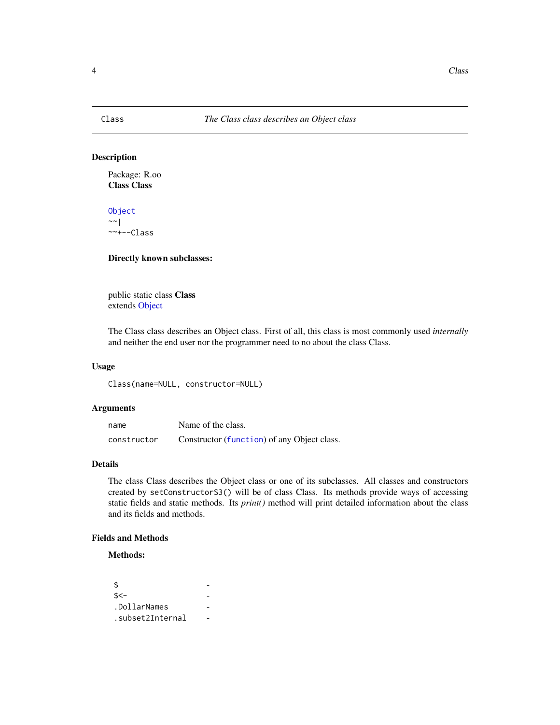# <span id="page-3-0"></span>Description

Package: R.oo Class Class

[Object](#page-15-1) ~~| ~~+--Class

#### Directly known subclasses:

public static class Class extends [Object](#page-15-1)

The Class class describes an Object class. First of all, this class is most commonly used *internally* and neither the end user nor the programmer need to no about the class Class.

#### Usage

Class(name=NULL, constructor=NULL)

# Arguments

| name        | Name of the class.                          |
|-------------|---------------------------------------------|
| constructor | Constructor (function) of any Object class. |

### Details

The class Class describes the Object class or one of its subclasses. All classes and constructors created by setConstructorS3() will be of class Class. Its methods provide ways of accessing static fields and static methods. Its *print()* method will print detailed information about the class and its fields and methods.

# Fields and Methods

Methods:

```
\updownarrows \leftarrow.DollarNames -
.subset2Internal -
```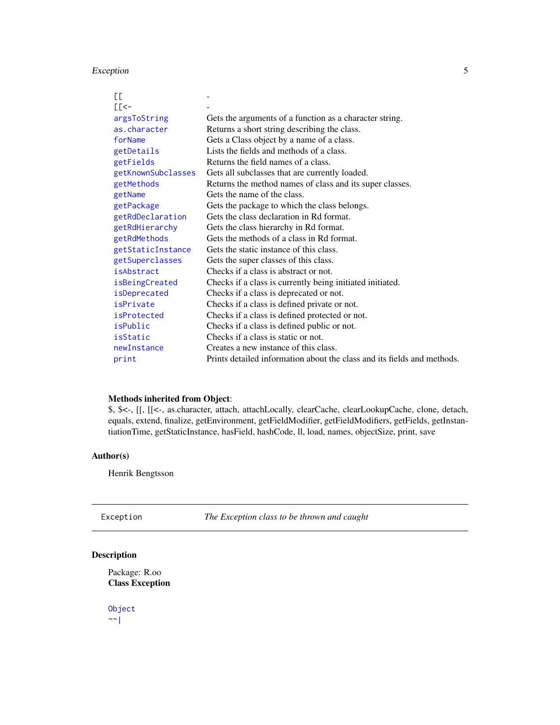# <span id="page-4-0"></span>Exception 5

| СC                 |                                                                         |
|--------------------|-------------------------------------------------------------------------|
| $E<$ -             |                                                                         |
| argsToString       | Gets the arguments of a function as a character string.                 |
| as.character       | Returns a short string describing the class.                            |
| forName            | Gets a Class object by a name of a class.                               |
| getDetails         | Lists the fields and methods of a class.                                |
| getFields          | Returns the field names of a class.                                     |
| getKnownSubclasses | Gets all subclasses that are currently loaded.                          |
| getMethods         | Returns the method names of class and its super classes.                |
| getName            | Gets the name of the class.                                             |
| getPackage         | Gets the package to which the class belongs.                            |
| getRdDeclaration   | Gets the class declaration in Rd format.                                |
| getRdHierarchy     | Gets the class hierarchy in Rd format.                                  |
| getRdMethods       | Gets the methods of a class in Rd format.                               |
| getStaticInstance  | Gets the static instance of this class.                                 |
| getSuperclasses    | Gets the super classes of this class.                                   |
| isAbstract         | Checks if a class is abstract or not.                                   |
| isBeingCreated     | Checks if a class is currently being initiated initiated.               |
| isDeprecated       | Checks if a class is deprecated or not.                                 |
| isPrivate          | Checks if a class is defined private or not.                            |
| isProtected        | Checks if a class is defined protected or not.                          |
| isPublic           | Checks if a class is defined public or not.                             |
| isStatic           | Checks if a class is static or not.                                     |
| newInstance        | Creates a new instance of this class.                                   |
| print              | Prints detailed information about the class and its fields and methods. |

# Methods inherited from Object:

\$, \$<-, [[, [[<-, as.character, attach, attachLocally, clearCache, clearLookupCache, clone, detach, equals, extend, finalize, getEnvironment, getFieldModifier, getFieldModifiers, getFields, getInstantiationTime, getStaticInstance, hasField, hashCode, ll, load, names, objectSize, print, save

# Author(s)

Henrik Bengtsson

<span id="page-4-1"></span>

# Description

Package: R.oo Class Exception

[Object](#page-15-1)  $\sim$  |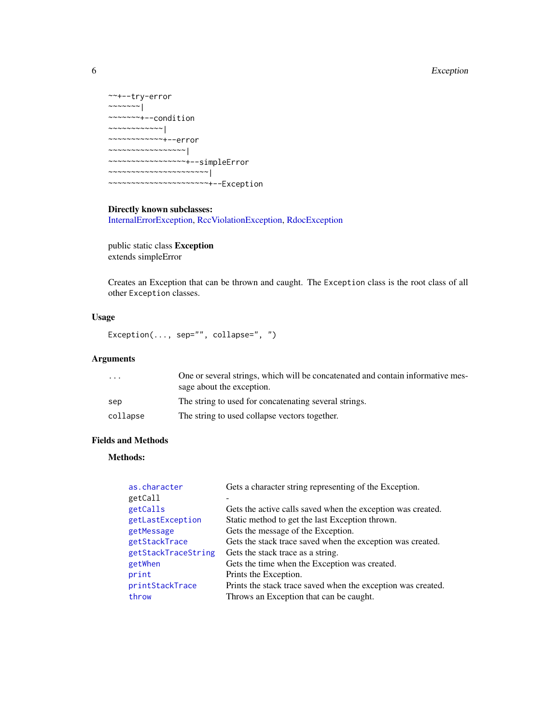# <span id="page-5-0"></span>6 Exception

```
~~+--try-error
~~~~~~~|~~~~~~~+--condition
~~~~~~~~~~~~|
~~~~~~~~~~~~+--error
~~~~~~~~~~~~~~~~~|
~~~~~~~~~~~~~~~~~+--simpleError
~~~~~~~~~~~~~~~~~~~~~~|
~~~~~~~~~~~~~~~~~~~~~~+--Exception
```
# Directly known subclasses:

[InternalErrorException,](#page-11-1) [RccViolationException,](#page-0-0) [RdocException](#page-26-1)

public static class Exception extends simpleError

Creates an Exception that can be thrown and caught. The Exception class is the root class of all other Exception classes.

# Usage

Exception(..., sep="", collapse=", ")

# Arguments

| $\cdots$ | One or several strings, which will be concatenated and contain informative mes- |
|----------|---------------------------------------------------------------------------------|
|          | sage about the exception.                                                       |
| sep      | The string to used for concatenating several strings.                           |
| collapse | The string to used collapse vectors together.                                   |

# Fields and Methods

# Methods:

| as.character        | Gets a character string representing of the Exception.       |
|---------------------|--------------------------------------------------------------|
| getCall             |                                                              |
| getCalls            | Gets the active calls saved when the exception was created.  |
| getLastException    | Static method to get the last Exception thrown.              |
| getMessage          | Gets the message of the Exception.                           |
| getStackTrace       | Gets the stack trace saved when the exception was created.   |
| getStackTraceString | Gets the stack trace as a string.                            |
| getWhen             | Gets the time when the Exception was created.                |
| print               | Prints the Exception.                                        |
| printStackTrace     | Prints the stack trace saved when the exception was created. |
| throw               | Throws an Exception that can be caught.                      |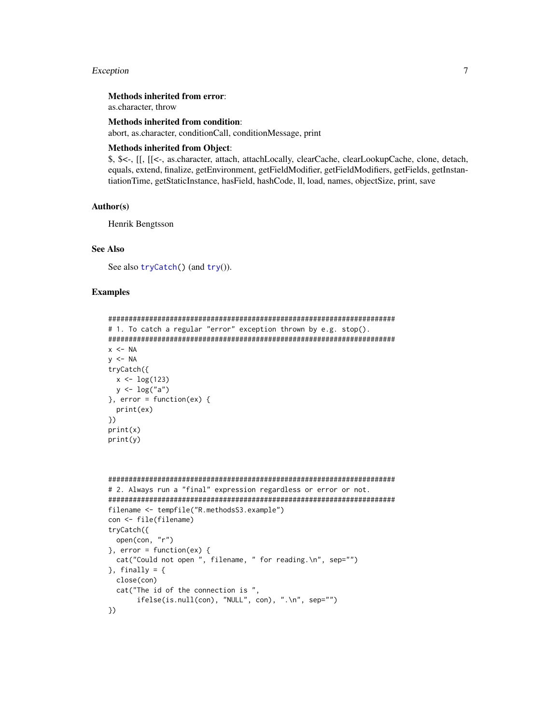#### <span id="page-6-0"></span>Exception 2008 **Exception** 2008 **CONTEX 2008** 2008 **CONTEX 2008** 2008 2014 2015 2016 2017

# Methods inherited from error:

as.character, throw

#### Methods inherited from condition:

abort, as.character, conditionCall, conditionMessage, print

#### Methods inherited from Object:

\$, \$<-, [[, [[<-, as.character, attach, attachLocally, clearCache, clearLookupCache, clone, detach, equals, extend, finalize, getEnvironment, getFieldModifier, getFieldModifiers, getFields, getInstantiationTime, getStaticInstance, hasField, hashCode, ll, load, names, objectSize, print, save

# Author(s)

Henrik Bengtsson

#### See Also

See also [tryCatch\(](#page-0-0)) (and [try](#page-0-0)()).

#### Examples

```
######################################################################
# 1. To catch a regular "error" exception thrown by e.g. stop().
######################################################################
x < -NAy \le -NAtryCatch({
  x < -\log(123)y \leftarrow \log("a")}, error = function(ex) {
  print(ex)
})
print(x)
print(y)
```

```
######################################################################
# 2. Always run a "final" expression regardless or error or not.
######################################################################
filename <- tempfile("R.methodsS3.example")
con <- file(filename)
tryCatch({
 open(con, "r")
\}, error = function(ex) {
 cat("Could not open ", filename, " for reading.\n", sep="")
}, finally = {
 close(con)
 cat("The id of the connection is ",
      ifelse(is.null(con), "NULL", con), ".\n", sep="")
})
```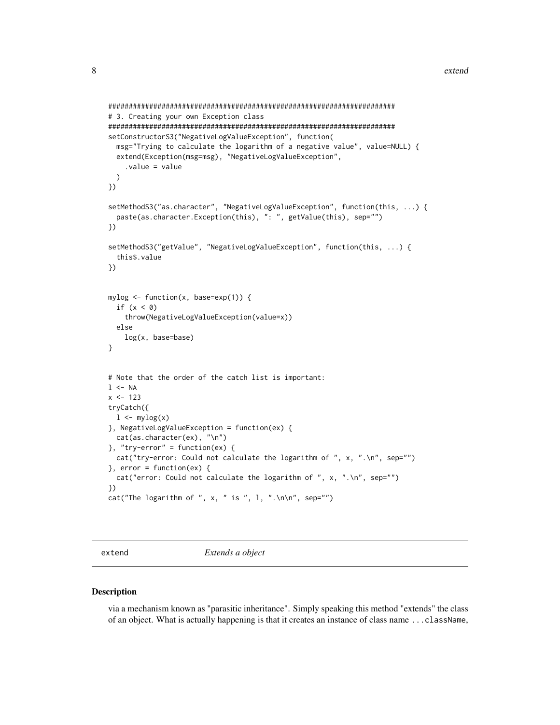```
######################################################################
# 3. Creating your own Exception class
######################################################################
setConstructorS3("NegativeLogValueException", function(
 msg="Trying to calculate the logarithm of a negative value", value=NULL) {
 extend(Exception(msg=msg), "NegativeLogValueException",
    .value = value
 \lambda})
setMethodS3("as.character", "NegativeLogValueException", function(this, ...) {
 paste(as.character.Exception(this), ": ", getValue(this), sep="")
})
setMethodS3("getValue", "NegativeLogValueException", function(this, ...) {
 this$.value
})
mylog <- function(x, base=exp(1)) {
 if (x < 0)throw(NegativeLogValueException(value=x))
 else
   log(x, base=base)
}
# Note that the order of the catch list is important:
1 < - NA
x < -123tryCatch({
 1 \leftarrow \text{mylog}(x)}, NegativeLogValueException = function(ex) {
 cat(as.character(ex), "\n")
}, "try-error" = function(ex)cat("try-error: Could not calculate the logarithm of ", x, ".\n", sep="")
}, error = function(ex) {
 cat("error: Could not calculate the logarithm of ", x, ".\n", sep="")
})
cat("The logarithm of ", x, " is ", l, ".n\", sep="")
```
<span id="page-7-1"></span>

extend *Extends a object*

#### Description

via a mechanism known as "parasitic inheritance". Simply speaking this method "extends" the class of an object. What is actually happening is that it creates an instance of class name ...className,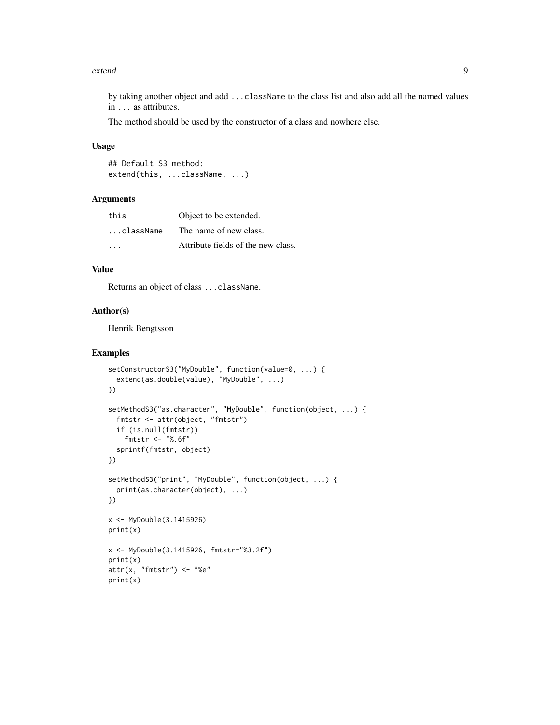#### extend 9

by taking another object and add ...className to the class list and also add all the named values in ... as attributes.

The method should be used by the constructor of a class and nowhere else.

# Usage

## Default S3 method: extend(this, ...className, ...)

#### Arguments

| this                    | Object to be extended.             |
|-------------------------|------------------------------------|
| className.              | The name of new class.             |
| $\cdot$ $\cdot$ $\cdot$ | Attribute fields of the new class. |

# Value

Returns an object of class ...className.

#### Author(s)

Henrik Bengtsson

# Examples

```
setConstructorS3("MyDouble", function(value=0, ...) {
  extend(as.double(value), "MyDouble", ...)
})
setMethodS3("as.character", "MyDouble", function(object, ...) {
  fmtstr <- attr(object, "fmtstr")
  if (is.null(fmtstr))
    fmtstr <- "%.6f"
  sprintf(fmtstr, object)
})
setMethodS3("print", "MyDouble", function(object, ...) {
  print(as.character(object), ...)
})
x <- MyDouble(3.1415926)
print(x)
x <- MyDouble(3.1415926, fmtstr="%3.2f")
print(x)
attr(x, "fmtstr") \leftarrow "xe"print(x)
```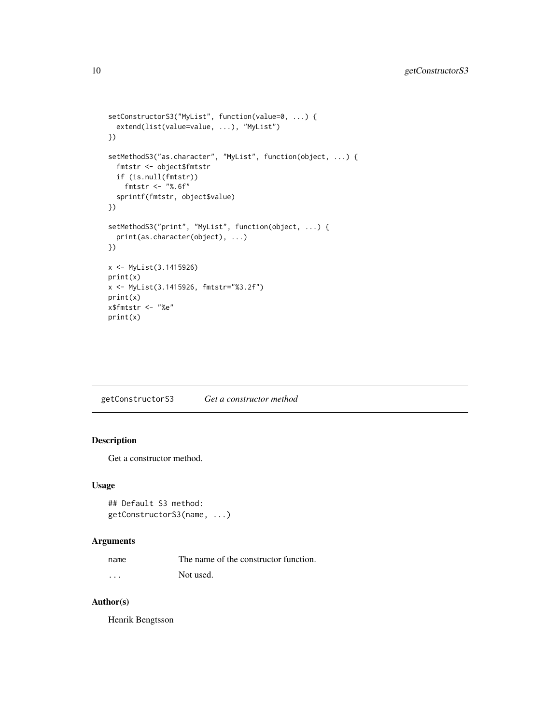```
setConstructorS3("MyList", function(value=0, ...) {
  extend(list(value=value, ...), "MyList")
})
setMethodS3("as.character", "MyList", function(object, ...) {
  fmtstr <- object$fmtstr
  if (is.null(fmtstr))
    fmtstr <- "%.6f"
  sprintf(fmtstr, object$value)
})
setMethodS3("print", "MyList", function(object, ...) {
  print(as.character(object), ...)
})
x <- MyList(3.1415926)
print(x)
x <- MyList(3.1415926, fmtstr="%3.2f")
print(x)
x$fmtstr <- "%e"
print(x)
```
getConstructorS3 *Get a constructor method*

# Description

Get a constructor method.

#### Usage

```
## Default S3 method:
getConstructorS3(name, ...)
```
#### Arguments

| name | The name of the constructor function. |
|------|---------------------------------------|
| .    | Not used.                             |

#### Author(s)

Henrik Bengtsson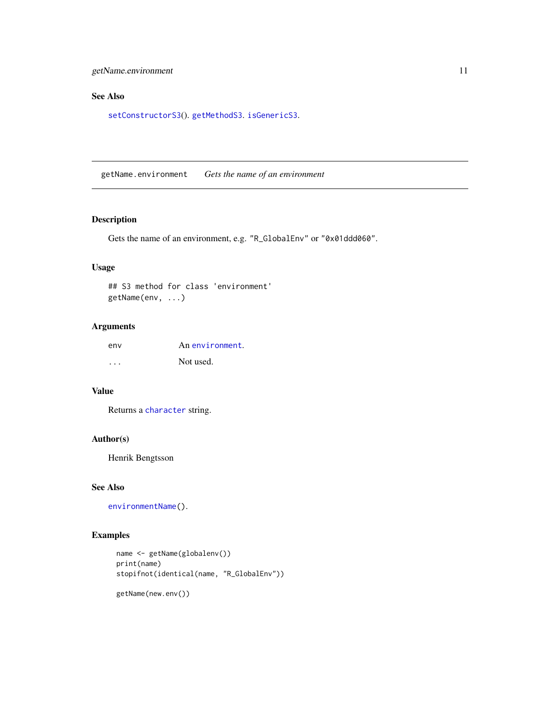# <span id="page-10-0"></span>See Also

[setConstructorS3](#page-28-1)(). [getMethodS3](#page-0-0). [isGenericS3](#page-0-0).

getName.environment *Gets the name of an environment*

# Description

Gets the name of an environment, e.g. "R\_GlobalEnv" or "0x01ddd060".

# Usage

## S3 method for class 'environment' getName(env, ...)

# Arguments

| env | An environment. |
|-----|-----------------|
| .   | Not used.       |

# Value

Returns a [character](#page-0-0) string.

#### Author(s)

Henrik Bengtsson

# See Also

[environmentName\(](#page-0-0)).

# Examples

```
name <- getName(globalenv())
print(name)
stopifnot(identical(name, "R_GlobalEnv"))
```
getName(new.env())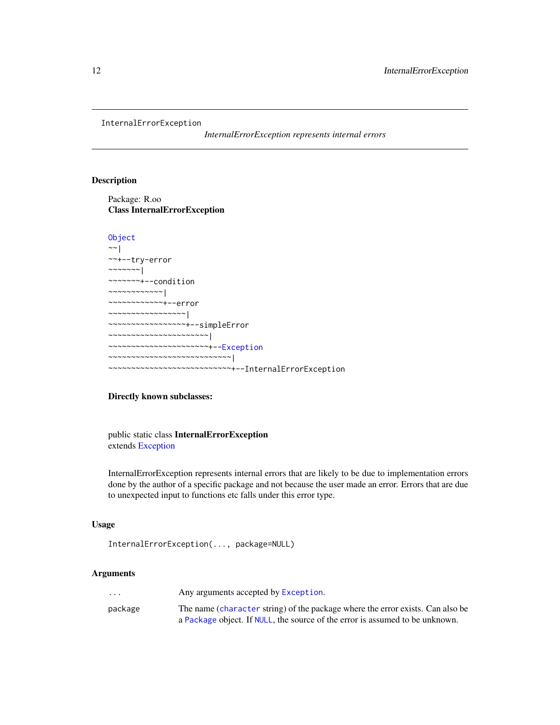```
InternalErrorException
```
*InternalErrorException represents internal errors*

# Description

Package: R.oo Class InternalErrorException

# [Object](#page-15-1)

```
~\sim~~~+--try-error
~~~~~~~|~~~~~~~+--condition
~~~~~~~~~~~~|
~~~~~~~~~~~~+--error
~~~~~~~~~~~~~~~~~|
~~~~~~~~~~~~~~~~~+--simpleError
~~~~~~~~~~~~~~~~~~~~~~|
  ~~~~~~~~~~~~~~~~~~~~~~+--Exception
  ~~~~~~~~~~~~~~~~~~~~~~~~~~~|
      ~~~~~~~~~~~~~~~~~~~~~~~~~~~+--InternalErrorException
```
#### Directly known subclasses:

public static class InternalErrorException extends [Exception](#page-4-1)

InternalErrorException represents internal errors that are likely to be due to implementation errors done by the author of a specific package and not because the user made an error. Errors that are due to unexpected input to functions etc falls under this error type.

#### Usage

```
InternalErrorException(..., package=NULL)
```
# Arguments

| $\cdot$ $\cdot$ $\cdot$ | Any arguments accepted by Exception.                                           |
|-------------------------|--------------------------------------------------------------------------------|
| package                 | The name (character string) of the package where the error exists. Can also be |
|                         | a Package object. If NULL, the source of the error is assumed to be unknown.   |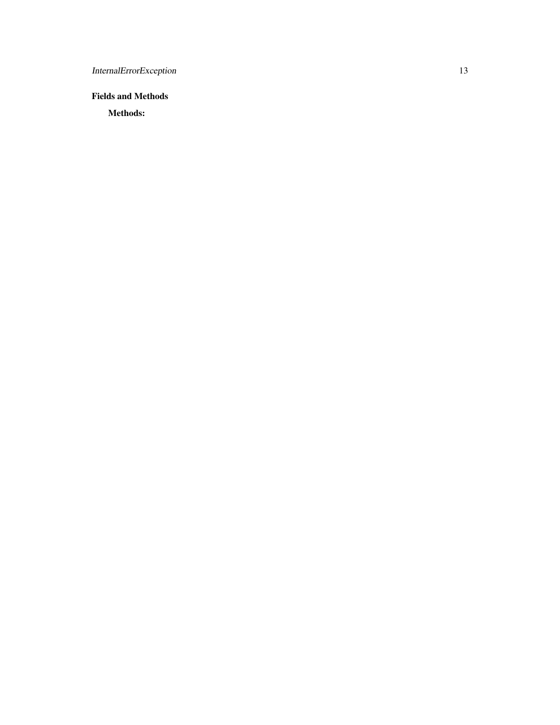InternalErrorException 13

Fields and Methods

Methods: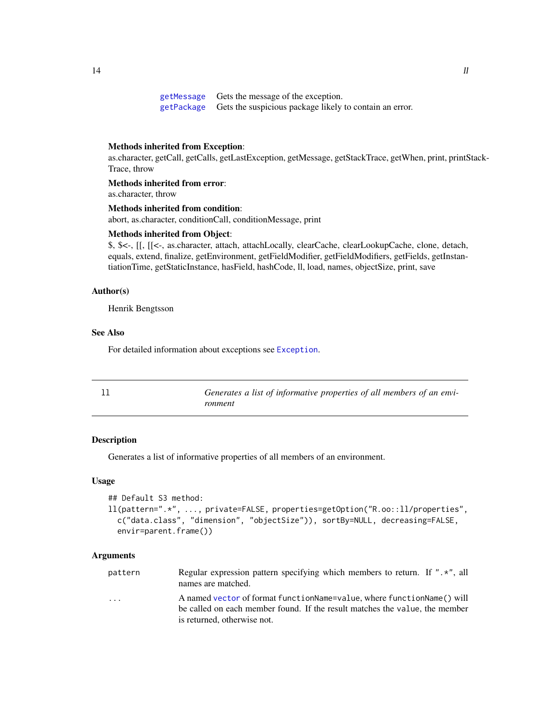<span id="page-13-0"></span>[getMessage](#page-0-0) Gets the message of the exception. [getPackage](#page-0-0) Gets the suspicious package likely to contain an error.

#### Methods inherited from Exception:

as.character, getCall, getCalls, getLastException, getMessage, getStackTrace, getWhen, print, printStack-Trace, throw

Methods inherited from error:

as.character, throw

# Methods inherited from condition:

abort, as.character, conditionCall, conditionMessage, print

#### Methods inherited from Object:

\$, \$<-, [[, [[<-, as.character, attach, attachLocally, clearCache, clearLookupCache, clone, detach, equals, extend, finalize, getEnvironment, getFieldModifier, getFieldModifiers, getFields, getInstantiationTime, getStaticInstance, hasField, hashCode, ll, load, names, objectSize, print, save

#### Author(s)

Henrik Bengtsson

# See Also

For detailed information about exceptions see [Exception](#page-4-1).

<span id="page-13-1"></span>

| Generates a list of informative properties of all members of an envi- |
|-----------------------------------------------------------------------|
| ronment                                                               |

#### Description

Generates a list of informative properties of all members of an environment.

#### Usage

```
## Default S3 method:
ll(pattern=".*", ..., private=FALSE, properties=getOption("R.oo::ll/properties",
 c("data.class", "dimension", "objectSize")), sortBy=NULL, decreasing=FALSE,
 envir=parent.frame())
```
#### Arguments

| pattern | Regular expression pattern specifying which members to return. If " $\cdot$ ", all<br>names are matched.                                                                                |
|---------|-----------------------------------------------------------------------------------------------------------------------------------------------------------------------------------------|
| .       | A named vector of format function Name=value, where function Name () will<br>be called on each member found. If the result matches the value, the member<br>is returned, otherwise not. |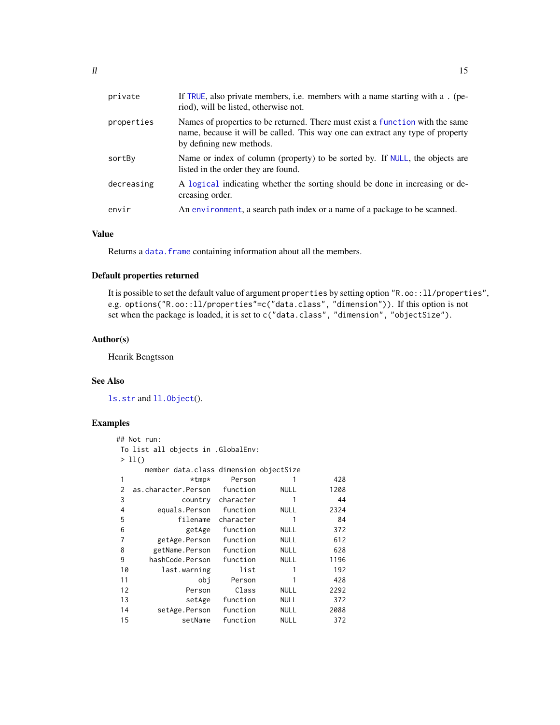<span id="page-14-0"></span>

| private    | If TRUE, also private members, i.e. members with a name starting with a . (pe-<br>riod), will be listed, otherwise not.                                                                     |
|------------|---------------------------------------------------------------------------------------------------------------------------------------------------------------------------------------------|
| properties | Names of properties to be returned. There must exist a function with the same<br>name, because it will be called. This way one can extract any type of property<br>by defining new methods. |
| sortBy     | Name or index of column (property) to be sorted by. If NULL, the objects are<br>listed in the order they are found.                                                                         |
| decreasing | A logical indicating whether the sorting should be done in increasing or de-<br>creasing order.                                                                                             |
| envir      | An environment, a search path index or a name of a package to be scanned.                                                                                                                   |

# Value

Returns a data. frame containing information about all the members.

# Default properties returned

It is possible to set the default value of argument properties by setting option "R.oo::ll/properties", e.g. options("R.oo::ll/properties"=c("data.class", "dimension")). If this option is not set when the package is loaded, it is set to c("data.class", "dimension", "objectSize").

#### Author(s)

Henrik Bengtsson

#### See Also

[ls.str](#page-0-0) and [ll.Object](#page-0-0)().

# Examples

```
## Not run:
To list all objects in .GlobalEnv:
> 11()
   member data.class dimension objectSize
1 *tmp* Person 1 428
2 as.character.Person function NULL 1208
3 country character 1 44
4 equals.Person function NULL 2324
5 filename character 1 84
6 getAge function NULL 372
7 getAge.Person function NULL 612
8 getName.Person function NULL 628
9 hashCode.Person function NULL 1196
10 last.warning list 1 192
11 obj Person 1 428
12 Person Class NULL 2292
13 setAge function NULL 372
14 setAge.Person function NULL 2088
15 setName function NULL 372
```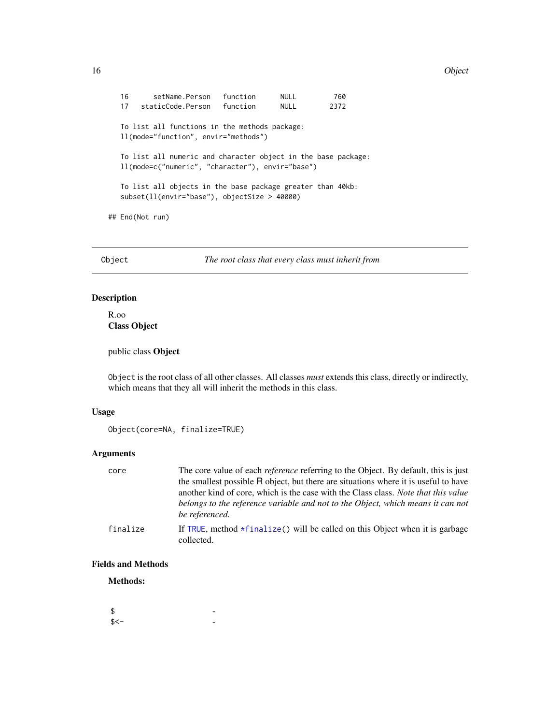#### <span id="page-15-0"></span>16 Object 2012 12:00 Object 2012 12:00 Object 2012 12:00 Object 2012 12:00 Object 2012 12:00 Object 2012 12:00 Object 2012 12:00 Object 2012 12:00 Object 2012 12:00 Object 2012 12:00 Object 2012 12:00 Object 2012 12:00 Obj

16 setName.Person function NULL 760 17 staticCode.Person function NULL 2372 To list all functions in the methods package: ll(mode="function", envir="methods") To list all numeric and character object in the base package: ll(mode=c("numeric", "character"), envir="base") To list all objects in the base package greater than 40kb: subset(ll(envir="base"), objectSize > 40000) ## End(Not run)

<span id="page-15-1"></span>Object *The root class that every class must inherit from*

# Description

R.oo Class Object

public class Object

Object is the root class of all other classes. All classes *must* extends this class, directly or indirectly, which means that they all will inherit the methods in this class.

# Usage

```
Object(core=NA, finalize=TRUE)
```
# Arguments

| core     | The core value of each <i>reference</i> referring to the Object. By default, this is just<br>the smallest possible R object, but there are situations where it is useful to have<br>another kind of core, which is the case with the Class class. <i>Note that this value</i><br>belongs to the reference variable and not to the Object, which means it can not |
|----------|------------------------------------------------------------------------------------------------------------------------------------------------------------------------------------------------------------------------------------------------------------------------------------------------------------------------------------------------------------------|
|          | be referenced.                                                                                                                                                                                                                                                                                                                                                   |
| finalize | If TRUE, method $\star$ finalize() will be called on this Object when it is garbage<br>collected.                                                                                                                                                                                                                                                                |

# Fields and Methods

Methods:

| \$   |  |
|------|--|
| \$<- |  |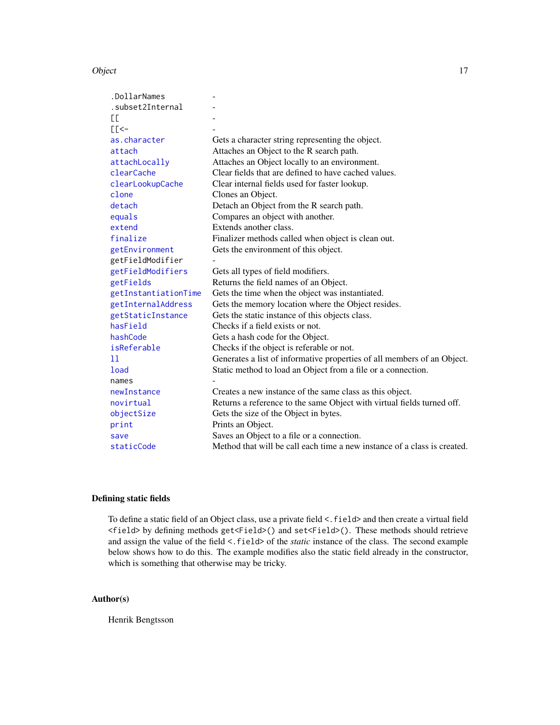#### <span id="page-16-0"></span>Object 2008 and 2008 and 2008 and 2008 and 2008 and 2008 and 2008 and 2008 and 2008 and 2008 and 2008 and 2008 and 2008 and 2008 and 2008 and 2008 and 2008 and 2008 and 2008 and 2008 and 2008 and 2008 and 2008 and 2008 and

| .DollarNames         |                                                                          |
|----------------------|--------------------------------------------------------------------------|
| .subset2Internal     |                                                                          |
| EE.                  |                                                                          |
| $E<$ -               |                                                                          |
| as.character         | Gets a character string representing the object.                         |
| attach               | Attaches an Object to the R search path.                                 |
| attachLocally        | Attaches an Object locally to an environment.                            |
| clearCache           | Clear fields that are defined to have cached values.                     |
| clearLookupCache     | Clear internal fields used for faster lookup.                            |
| clone                | Clones an Object.                                                        |
| detach               | Detach an Object from the R search path.                                 |
| equals               | Compares an object with another.                                         |
| extend               | Extends another class.                                                   |
| finalize             | Finalizer methods called when object is clean out.                       |
| getEnvironment       | Gets the environment of this object.                                     |
| getFieldModifier     |                                                                          |
| getFieldModifiers    | Gets all types of field modifiers.                                       |
| getFields            | Returns the field names of an Object.                                    |
| getInstantiationTime | Gets the time when the object was instantiated.                          |
| getInternalAddress   | Gets the memory location where the Object resides.                       |
| getStaticInstance    | Gets the static instance of this objects class.                          |
| hasField             | Checks if a field exists or not.                                         |
| hashCode             | Gets a hash code for the Object.                                         |
| isReferable          | Checks if the object is referable or not.                                |
| 11                   | Generates a list of informative properties of all members of an Object.  |
| <b>load</b>          | Static method to load an Object from a file or a connection.             |
| names                |                                                                          |
| newInstance          | Creates a new instance of the same class as this object.                 |
| novirtual            | Returns a reference to the same Object with virtual fields turned off.   |
| objectSize           | Gets the size of the Object in bytes.                                    |
| print                | Prints an Object.                                                        |
| save                 | Saves an Object to a file or a connection.                               |
| staticCode           | Method that will be call each time a new instance of a class is created. |

# Defining static fields

To define a static field of an Object class, use a private field <. field> and then create a virtual field <field> by defining methods get<Field>() and set<Field>(). These methods should retrieve and assign the value of the field <. field> of the *static* instance of the class. The second example below shows how to do this. The example modifies also the static field already in the constructor, which is something that otherwise may be tricky.

# Author(s)

Henrik Bengtsson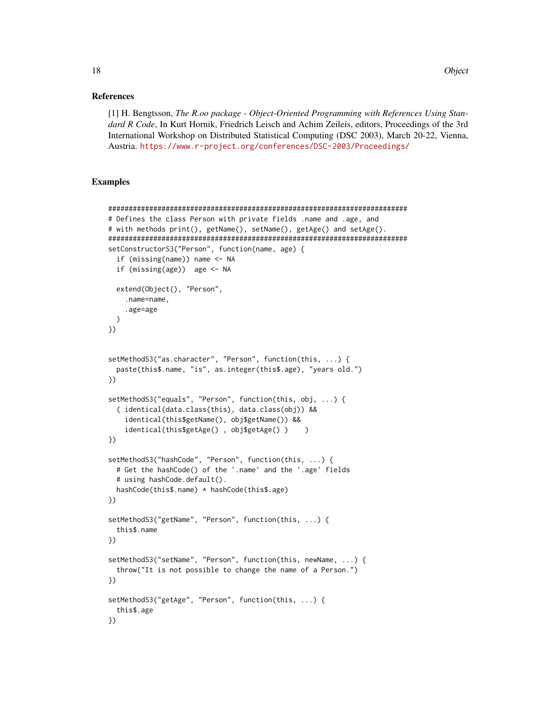#### References

[1] H. Bengtsson, *The R.oo package - Object-Oriented Programming with References Using Standard R Code*, In Kurt Hornik, Friedrich Leisch and Achim Zeileis, editors, Proceedings of the 3rd International Workshop on Distributed Statistical Computing (DSC 2003), March 20-22, Vienna, Austria. <https://www.r-project.org/conferences/DSC-2003/Proceedings/>

# Examples

```
#########################################################################
# Defines the class Person with private fields .name and .age, and
# with methods print(), getName(), setName(), getAge() and setAge().
#########################################################################
setConstructorS3("Person", function(name, age) {
 if (missing(name)) name <- NA
 if (missing(age)) age <- NA
 extend(Object(), "Person",
    .name=name,
    .age=age
 )
})
setMethodS3("as.character", "Person", function(this, ...) {
 paste(this$.name, "is", as.integer(this$.age), "years old.")
})
setMethodS3("equals", "Person", function(this, obj, ...) {
 ( identical(data.class(this), data.class(obj)) &&
    identical(this$getName(), obj$getName()) &&
    identical(this$getAge() , obj$getAge() ) )
})
setMethodS3("hashCode", "Person", function(this, ...) {
 # Get the hashCode() of the '.name' and the '.age' fields
 # using hashCode.default().
 hashCode(this$.name) * hashCode(this$.age)
})
setMethodS3("getName", "Person", function(this, ...) {
 this$.name
})
setMethodS3("setName", "Person", function(this, newName, ...) {
 throw("It is not possible to change the name of a Person.")
})
setMethodS3("getAge", "Person", function(this, ...) {
 this$.age
})
```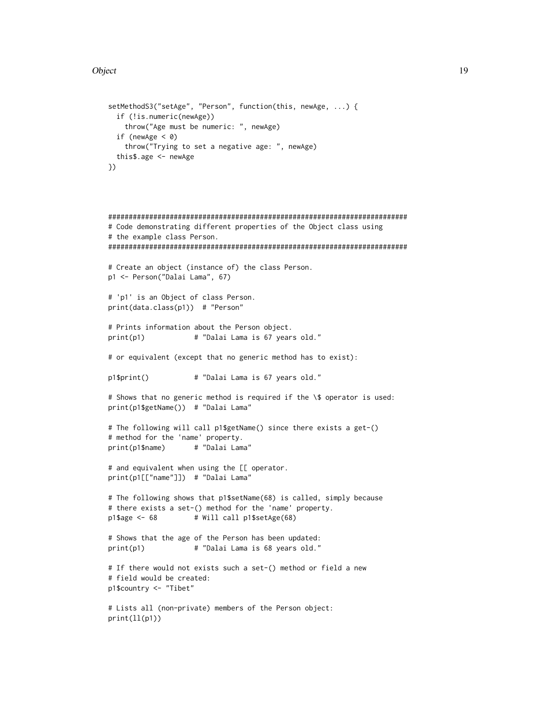#### Object 2008 and 2009 and 2009 and 2009 and 2009 and 2009 and 2009 and 2009 and 2009 and 2009 and 2009 and 2009

```
setMethodS3("setAge", "Person", function(this, newAge, ...) {
 if (!is.numeric(newAge))
   throw("Age must be numeric: ", newAge)
 if (newAge < 0)
   throw("Trying to set a negative age: ", newAge)
 this$.age <- newAge
})
```

```
#########################################################################
# Code demonstrating different properties of the Object class using
# the example class Person.
#########################################################################
# Create an object (instance of) the class Person.
p1 <- Person("Dalai Lama", 67)
# 'p1' is an Object of class Person.
print(data.class(p1)) # "Person"
# Prints information about the Person object.
print(p1) # "Dalai Lama is 67 years old."
# or equivalent (except that no generic method has to exist):
p1$print() # "Dalai Lama is 67 years old."
# Shows that no generic method is required if the \$ operator is used:
print(p1$getName()) # "Dalai Lama"
# The following will call p1$getName() since there exists a get-()
# method for the 'name' property.
print(p1$name) # "Dalai Lama"
# and equivalent when using the [[ operator.
print(p1[["name"]]) # "Dalai Lama"
```

```
# The following shows that p1$setName(68) is called, simply because
# there exists a set-() method for the 'name' property.
p1$age <- 68 # Will call p1$setAge(68)
```

```
# Shows that the age of the Person has been updated:
print(p1) # "Dalai Lama is 68 years old."
```

```
# If there would not exists such a set-() method or field a new
# field would be created:
p1$country <- "Tibet"
```

```
# Lists all (non-private) members of the Person object:
print(ll(p1))
```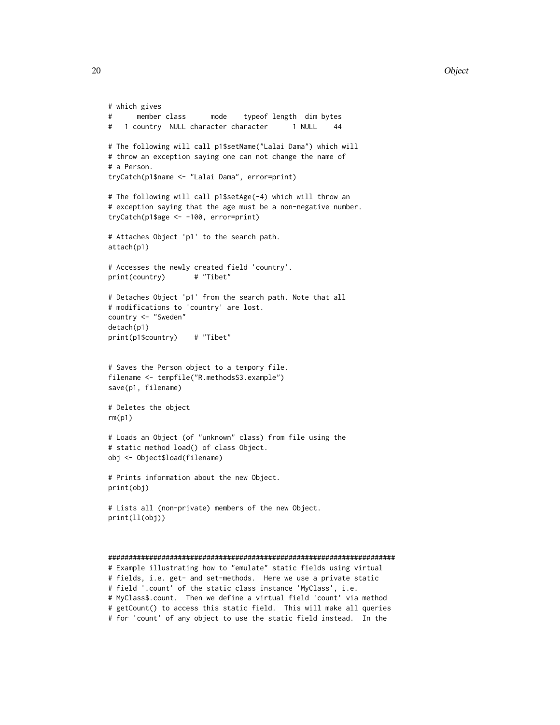#### 20 Object 20 Object 20 Object 20 Object 20 Object 20 Object 20 Object 20 Object 20 Object 20 Object 20 Object

```
# which gives
# member class mode typeof length dim bytes
# 1 country NULL character character 1 NULL 44
# The following will call p1$setName("Lalai Dama") which will
# throw an exception saying one can not change the name of
# a Person.
tryCatch(p1$name <- "Lalai Dama", error=print)
# The following will call p1$setAge(-4) which will throw an
# exception saying that the age must be a non-negative number.
tryCatch(p1$age <- -100, error=print)
# Attaches Object 'p1' to the search path.
attach(p1)
# Accesses the newly created field 'country'.
print(country) # "Tibet"
# Detaches Object 'p1' from the search path. Note that all
# modifications to 'country' are lost.
country <- "Sweden"
detach(p1)
print(p1$country) # "Tibet"
# Saves the Person object to a tempory file.
filename <- tempfile("R.methodsS3.example")
save(p1, filename)
# Deletes the object
rm(p1)
# Loads an Object (of "unknown" class) from file using the
# static method load() of class Object.
obj <- Object$load(filename)
# Prints information about the new Object.
print(obj)
# Lists all (non-private) members of the new Object.
print(ll(obj))
######################################################################
# Example illustrating how to "emulate" static fields using virtual
# fields, i.e. get- and set-methods. Here we use a private static
# field '.count' of the static class instance 'MyClass', i.e.
# MyClass$.count. Then we define a virtual field 'count' via method
# getCount() to access this static field. This will make all queries
```
# for 'count' of any object to use the static field instead. In the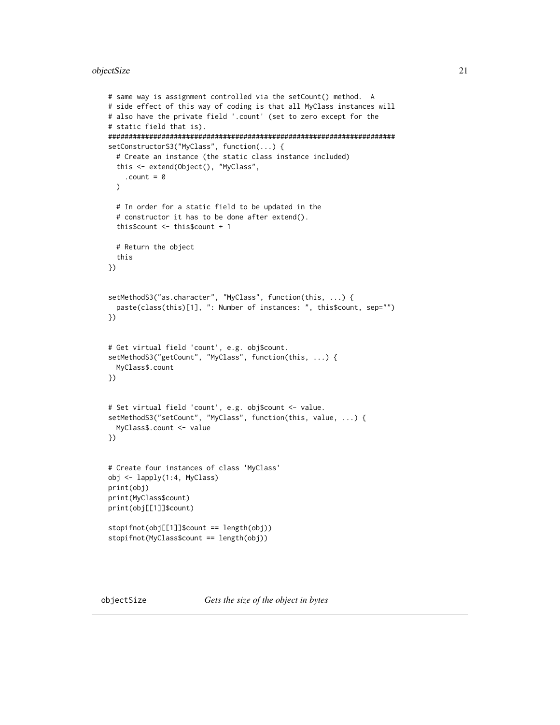#### <span id="page-20-0"></span>objectSize 21

```
# same way is assignment controlled via the setCount() method. A
# side effect of this way of coding is that all MyClass instances will
# also have the private field '.count' (set to zero except for the
# static field that is).
######################################################################
setConstructorS3("MyClass", function(...) {
 # Create an instance (the static class instance included)
 this <- extend(Object(), "MyClass",
    .count = 0
 \lambda# In order for a static field to be updated in the
 # constructor it has to be done after extend().
 this$count <- this$count + 1
 # Return the object
 this
})
setMethodS3("as.character", "MyClass", function(this, ...) {
 paste(class(this)[1], ": Number of instances: ", this$count, sep="")
})
# Get virtual field 'count', e.g. obj$count.
setMethodS3("getCount", "MyClass", function(this, ...) {
 MyClass$.count
})
# Set virtual field 'count', e.g. obj$count <- value.
setMethodS3("setCount", "MyClass", function(this, value, ...) {
 MyClass$.count <- value
})
# Create four instances of class 'MyClass'
obj <- lapply(1:4, MyClass)
print(obj)
print(MyClass$count)
print(obj[[1]]$count)
stopifnot(obj[[1]]$count == length(obj))
stopifnot(MyClass$count == length(obj))
```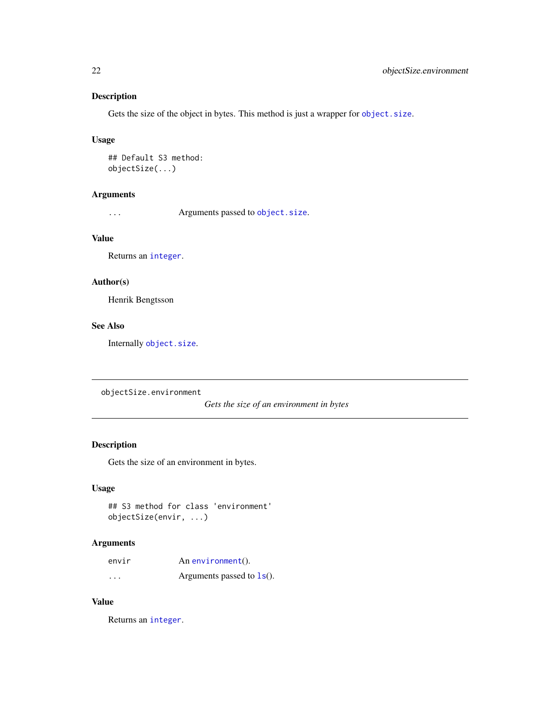# <span id="page-21-0"></span>Description

Gets the size of the object in bytes. This method is just a wrapper for [object.size](#page-0-0).

#### Usage

## Default S3 method: objectSize(...)

# Arguments

... Arguments passed to [object.size](#page-0-0).

# Value

Returns an [integer](#page-0-0).

# Author(s)

Henrik Bengtsson

# See Also

Internally [object.size](#page-0-0).

objectSize.environment

*Gets the size of an environment in bytes*

# Description

Gets the size of an environment in bytes.

# Usage

```
## S3 method for class 'environment'
objectSize(envir, ...)
```
# Arguments

| envir   | An environment().            |
|---------|------------------------------|
| $\cdot$ | Arguments passed to $ls()$ . |

# Value

Returns an [integer](#page-0-0).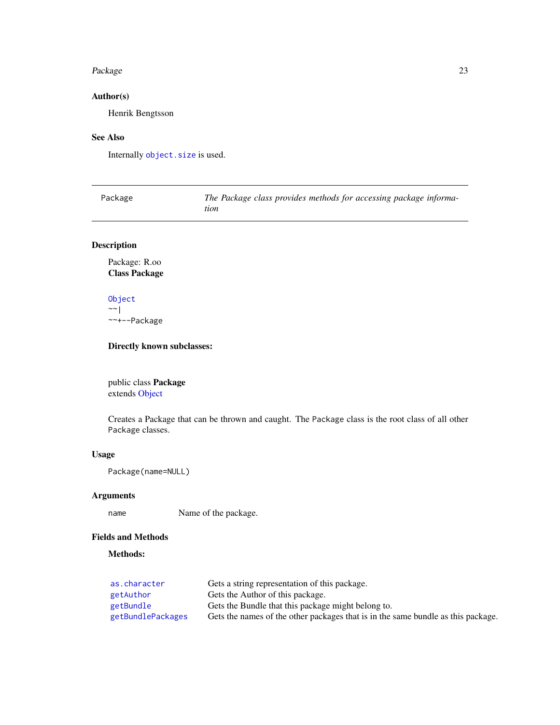#### <span id="page-22-0"></span>Package 23

# Author(s)

Henrik Bengtsson

# See Also

Internally [object.size](#page-0-0) is used.

<span id="page-22-1"></span>

| Package | The Package class provides methods for accessing package informa- |
|---------|-------------------------------------------------------------------|
|         | tion                                                              |

# Description

Package: R.oo Class Package

[Object](#page-15-1)  $\sim$   $\sim$  | ~~+--Package

# Directly known subclasses:

public class Package extends [Object](#page-15-1)

Creates a Package that can be thrown and caught. The Package class is the root class of all other Package classes.

# Usage

Package(name=NULL)

# Arguments

name Name of the package.

# Fields and Methods

# Methods:

| as.character      | Gets a string representation of this package.                                    |
|-------------------|----------------------------------------------------------------------------------|
| getAuthor         | Gets the Author of this package.                                                 |
| getBundle         | Gets the Bundle that this package might belong to.                               |
| getBundlePackages | Gets the names of the other packages that is in the same bundle as this package. |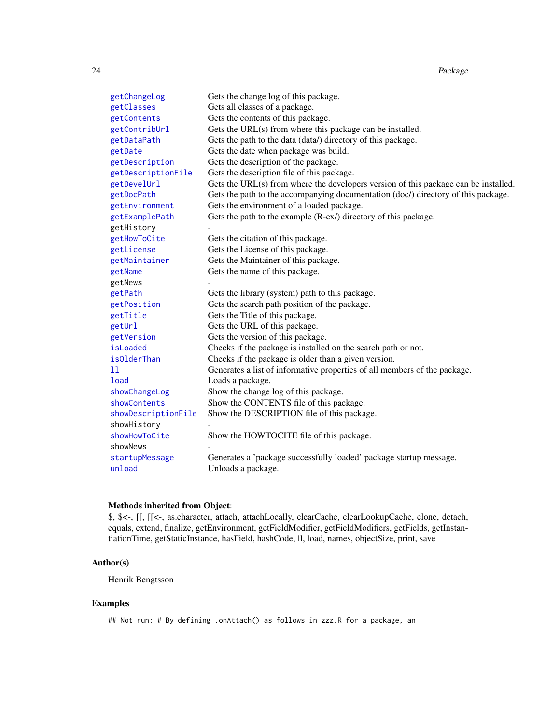<span id="page-23-0"></span>

| getChangeLog        | Gets the change log of this package.                                                |
|---------------------|-------------------------------------------------------------------------------------|
| getClasses          | Gets all classes of a package.                                                      |
| getContents         | Gets the contents of this package.                                                  |
| getContribUrl       | Gets the URL(s) from where this package can be installed.                           |
| getDataPath         | Gets the path to the data (data/) directory of this package.                        |
| getDate             | Gets the date when package was build.                                               |
| getDescription      | Gets the description of the package.                                                |
| getDescriptionFile  | Gets the description file of this package.                                          |
| getDevelUrl         | Gets the URL(s) from where the developers version of this package can be installed. |
| getDocPath          | Gets the path to the accompanying documentation (doc/) directory of this package.   |
| getEnvironment      | Gets the environment of a loaded package.                                           |
| getExamplePath      | Gets the path to the example (R-ex/) directory of this package.                     |
| getHistory          |                                                                                     |
| getHowToCite        | Gets the citation of this package.                                                  |
| getLicense          | Gets the License of this package.                                                   |
| getMaintainer       | Gets the Maintainer of this package.                                                |
| getName             | Gets the name of this package.                                                      |
| getNews             |                                                                                     |
| getPath             | Gets the library (system) path to this package.                                     |
| getPosition         | Gets the search path position of the package.                                       |
| getTitle            | Gets the Title of this package.                                                     |
| getUrl              | Gets the URL of this package.                                                       |
| getVersion          | Gets the version of this package.                                                   |
| isLoaded            | Checks if the package is installed on the search path or not.                       |
| isOlderThan         | Checks if the package is older than a given version.                                |
| 11                  | Generates a list of informative properties of all members of the package.           |
| <b>load</b>         | Loads a package.                                                                    |
| showChangeLog       | Show the change log of this package.                                                |
| showContents        | Show the CONTENTS file of this package.                                             |
| showDescriptionFile | Show the DESCRIPTION file of this package.                                          |
| showHistory         |                                                                                     |
| showHowToCite       | Show the HOWTOCITE file of this package.                                            |
| showNews            |                                                                                     |
| startupMessage      | Generates a 'package successfully loaded' package startup message.                  |
| unload              | Unloads a package.                                                                  |

# Methods inherited from Object:

\$, \$<-, [[, [[<-, as.character, attach, attachLocally, clearCache, clearLookupCache, clone, detach, equals, extend, finalize, getEnvironment, getFieldModifier, getFieldModifiers, getFields, getInstantiationTime, getStaticInstance, hasField, hashCode, ll, load, names, objectSize, print, save

#### Author(s)

Henrik Bengtsson

# Examples

## Not run: # By defining .onAttach() as follows in zzz.R for a package, an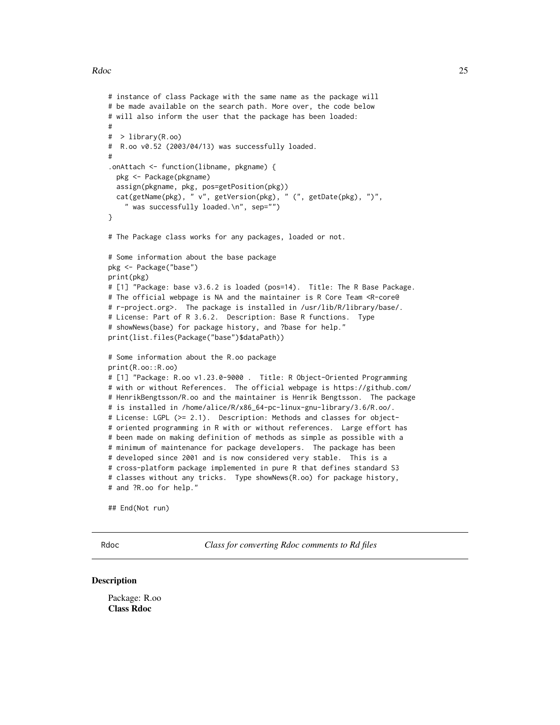#### <span id="page-24-0"></span>Rdoc 25

```
# instance of class Package with the same name as the package will
# be made available on the search path. More over, the code below
# will also inform the user that the package has been loaded:
#
# > library(R.oo)
# R.oo v0.52 (2003/04/13) was successfully loaded.
#
.onAttach <- function(libname, pkgname) {
 pkg <- Package(pkgname)
 assign(pkgname, pkg, pos=getPosition(pkg))
 cat(getName(pkg), " v", getVersion(pkg), " (", getDate(pkg), ")",
    " was successfully loaded.\n", sep="")
}
# The Package class works for any packages, loaded or not.
# Some information about the base package
pkg <- Package("base")
print(pkg)
# [1] "Package: base v3.6.2 is loaded (pos=14). Title: The R Base Package.
# The official webpage is NA and the maintainer is R Core Team <R-core@
# r-project.org>. The package is installed in /usr/lib/R/library/base/.
# License: Part of R 3.6.2. Description: Base R functions. Type
# showNews(base) for package history, and ?base for help."
print(list.files(Package("base")$dataPath))
# Some information about the R.oo package
print(R.oo::R.oo)
# [1] "Package: R.oo v1.23.0-9000 . Title: R Object-Oriented Programming
# with or without References. The official webpage is https://github.com/
# HenrikBengtsson/R.oo and the maintainer is Henrik Bengtsson. The package
# is installed in /home/alice/R/x86_64-pc-linux-gnu-library/3.6/R.oo/.
# License: LGPL (>= 2.1). Description: Methods and classes for object-
# oriented programming in R with or without references. Large effort has
# been made on making definition of methods as simple as possible with a
# minimum of maintenance for package developers. The package has been
# developed since 2001 and is now considered very stable. This is a
# cross-platform package implemented in pure R that defines standard S3
# classes without any tricks. Type showNews(R.oo) for package history,
# and ?R.oo for help."
```
## End(Not run)

Rdoc *Class for converting Rdoc comments to Rd files*

#### **Description**

Package: R.oo Class Rdoc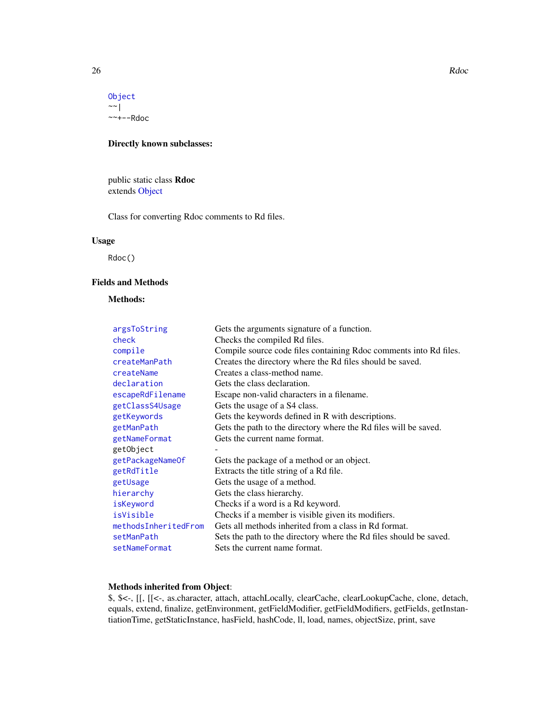#### 26 Rdocharacter and the state of the state of the state of the state of the Rdocharacter and the Rdocharacter state of the Rdocharacter and the Rdocharacter state of the Rdocharacter and the Rdocharacter state of the Rdoch

[Object](#page-15-1)  $\sim$  |  $---Rdoc$ 

# Directly known subclasses:

public static class Rdoc extends [Object](#page-15-1)

Class for converting Rdoc comments to Rd files.

# Usage

Rdoc()

# Fields and Methods

# Methods:

| argsToString         | Gets the arguments signature of a function.                        |
|----------------------|--------------------------------------------------------------------|
| check                | Checks the compiled Rd files.                                      |
| compile              | Compile source code files containing Rdoc comments into Rd files.  |
| createManPath        | Creates the directory where the Rd files should be saved.          |
| createName           | Creates a class-method name.                                       |
| declaration          | Gets the class declaration.                                        |
| escapeRdFilename     | Escape non-valid characters in a filename.                         |
| getClassS4Usage      | Gets the usage of a S4 class.                                      |
| getKeywords          | Gets the keywords defined in R with descriptions.                  |
| getManPath           | Gets the path to the directory where the Rd files will be saved.   |
| getNameFormat        | Gets the current name format.                                      |
| getObject            |                                                                    |
| getPackageNameOf     | Gets the package of a method or an object.                         |
| getRdTitle           | Extracts the title string of a Rd file.                            |
| getUsage             | Gets the usage of a method.                                        |
| hierarchy            | Gets the class hierarchy.                                          |
| isKeyword            | Checks if a word is a Rd keyword.                                  |
| isVisible            | Checks if a member is visible given its modifiers.                 |
| methodsInheritedFrom | Gets all methods inherited from a class in Rd format.              |
| setManPath           | Sets the path to the directory where the Rd files should be saved. |
| setNameFormat        | Sets the current name format.                                      |

# Methods inherited from Object:

\$, \$<-, [[, [[<-, as.character, attach, attachLocally, clearCache, clearLookupCache, clone, detach, equals, extend, finalize, getEnvironment, getFieldModifier, getFieldModifiers, getFields, getInstantiationTime, getStaticInstance, hasField, hashCode, ll, load, names, objectSize, print, save

<span id="page-25-0"></span>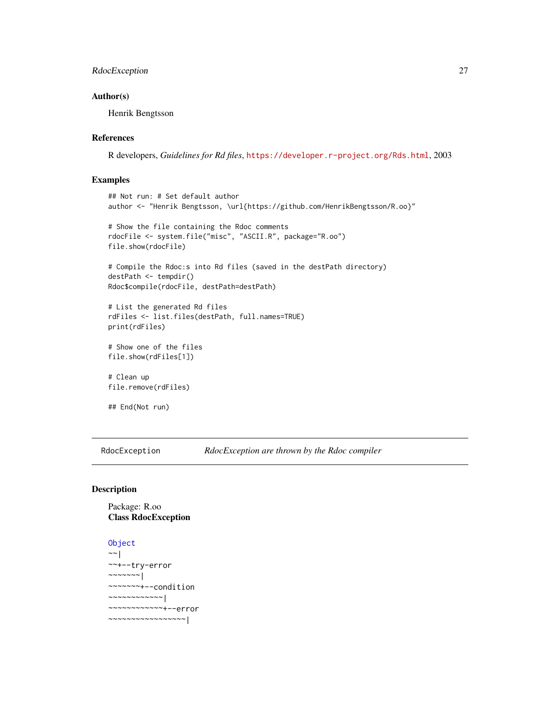# <span id="page-26-0"></span>RdocException 27

#### Author(s)

Henrik Bengtsson

#### References

R developers, *Guidelines for Rd files*, <https://developer.r-project.org/Rds.html>, 2003

#### Examples

```
## Not run: # Set default author
author <- "Henrik Bengtsson, \url{https://github.com/HenrikBengtsson/R.oo}"
# Show the file containing the Rdoc comments
rdocFile <- system.file("misc", "ASCII.R", package="R.oo")
file.show(rdocFile)
# Compile the Rdoc:s into Rd files (saved in the destPath directory)
destPath <- tempdir()
Rdoc$compile(rdocFile, destPath=destPath)
# List the generated Rd files
rdFiles <- list.files(destPath, full.names=TRUE)
print(rdFiles)
# Show one of the files
file.show(rdFiles[1])
# Clean up
file.remove(rdFiles)
```
## End(Not run)

<span id="page-26-1"></span>RdocException *RdocException are thrown by the Rdoc compiler*

# Description

# Package: R.oo Class RdocException

# [Object](#page-15-1)

```
~\sim~|
~~+--try-error
~\sim ~\sim ~\sim ~\sim ~\sim ~\sim ~\sim ~\sim ~\sim ~\sim ~\sim ~\sim ~\sim ~\sim ~\sim ~\sim ~\sim ~\sim ~\sim ~\sim ~\sim ~\sim ~\sim ~\sim ~\sim ~\sim ~\sim ~\sim ~\sim ~\sim ~\sim ~\sim ~\sim ~\sim ~\sim ~\sim ~\sim~~~~~~~+--condition
~~~~~~~~~~~~|
~~~~~~~~~~~~+--error
~~~~~~~~~~~~~~~~~|
```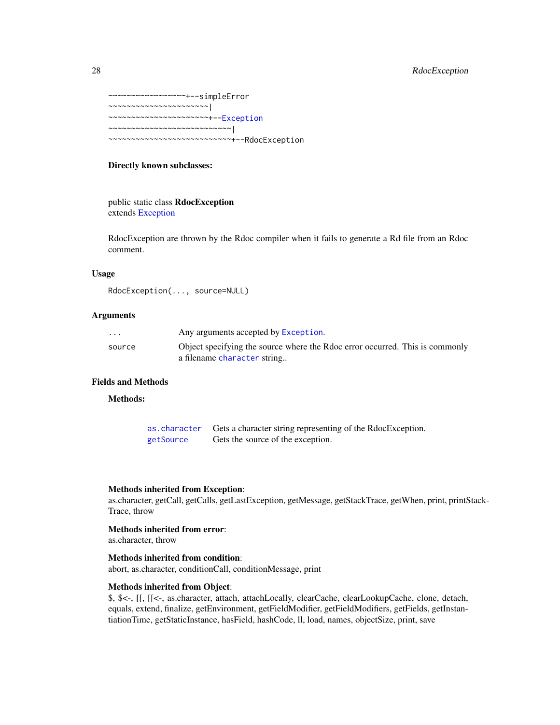# <span id="page-27-0"></span>28 RdocException

```
~~~~~~~~~~~~~~~~~+--simpleError
~~~~~~~~~~~~~~~~~~~~~~|
~~~~~~~~~~~~~~~~~~~~~~+--Exception
  ~~~~~~~~~~~~~~~~~~~~~~~~~~~|
    ~~~~~~~~~~~~~~~~~~~~~~~~~~~+--RdocException
```
# Directly known subclasses:

public static class RdocException extends [Exception](#page-4-1)

RdocException are thrown by the Rdoc compiler when it fails to generate a Rd file from an Rdoc comment.

#### Usage

RdocException(..., source=NULL)

#### Arguments

| $\cdot$ $\cdot$ $\cdot$ | Any arguments accepted by Exception.                                         |
|-------------------------|------------------------------------------------------------------------------|
| source                  | Object specifying the source where the Rdoc error occurred. This is commonly |
|                         | a filename character string                                                  |

# Fields and Methods

# Methods:

| as.character | Gets a character string representing of the RdocException. |
|--------------|------------------------------------------------------------|
| getSource    | Gets the source of the exception.                          |

#### Methods inherited from Exception:

as.character, getCall, getCalls, getLastException, getMessage, getStackTrace, getWhen, print, printStack-Trace, throw

# Methods inherited from error:

as.character, throw

# Methods inherited from condition:

abort, as.character, conditionCall, conditionMessage, print

#### Methods inherited from Object:

\$, \$<-, [[, [[<-, as.character, attach, attachLocally, clearCache, clearLookupCache, clone, detach, equals, extend, finalize, getEnvironment, getFieldModifier, getFieldModifiers, getFields, getInstantiationTime, getStaticInstance, hasField, hashCode, ll, load, names, objectSize, print, save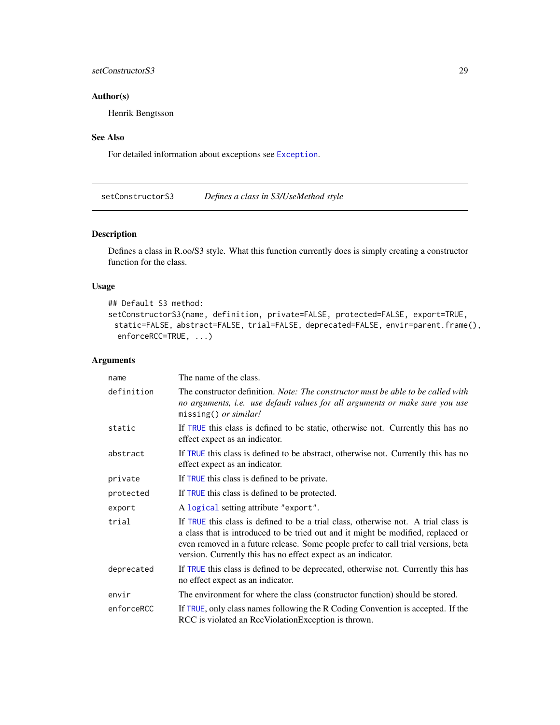# <span id="page-28-0"></span>setConstructorS3 29

# Author(s)

Henrik Bengtsson

# See Also

For detailed information about exceptions see [Exception](#page-4-1).

<span id="page-28-1"></span>setConstructorS3 *Defines a class in S3/UseMethod style*

# Description

Defines a class in R.oo/S3 style. What this function currently does is simply creating a constructor function for the class.

# Usage

```
## Default S3 method:
setConstructorS3(name, definition, private=FALSE, protected=FALSE, export=TRUE,
 static=FALSE, abstract=FALSE, trial=FALSE, deprecated=FALSE, envir=parent.frame(),
 enforceRCC=TRUE, ...)
```
# Arguments

| name       | The name of the class.                                                                                                                                                                                                                                                                                                       |  |
|------------|------------------------------------------------------------------------------------------------------------------------------------------------------------------------------------------------------------------------------------------------------------------------------------------------------------------------------|--|
| definition | The constructor definition. Note: The constructor must be able to be called with<br>no arguments, i.e. use default values for all arguments or make sure you use<br>missing() or similar!                                                                                                                                    |  |
| static     | If TRUE this class is defined to be static, otherwise not. Currently this has no<br>effect expect as an indicator.                                                                                                                                                                                                           |  |
| abstract   | If TRUE this class is defined to be abstract, otherwise not. Currently this has no<br>effect expect as an indicator.                                                                                                                                                                                                         |  |
| private    | If TRUE this class is defined to be private.                                                                                                                                                                                                                                                                                 |  |
| protected  | If TRUE this class is defined to be protected.                                                                                                                                                                                                                                                                               |  |
| export     | A logical setting attribute "export".                                                                                                                                                                                                                                                                                        |  |
| trial      | If TRUE this class is defined to be a trial class, otherwise not. A trial class is<br>a class that is introduced to be tried out and it might be modified, replaced or<br>even removed in a future release. Some people prefer to call trial versions, beta<br>version. Currently this has no effect expect as an indicator. |  |
| deprecated | If TRUE this class is defined to be deprecated, otherwise not. Currently this has<br>no effect expect as an indicator.                                                                                                                                                                                                       |  |
| envir      | The environment for where the class (constructor function) should be stored.                                                                                                                                                                                                                                                 |  |
| enforceRCC | If TRUE, only class names following the R Coding Convention is accepted. If the<br>RCC is violated an RccViolationException is thrown.                                                                                                                                                                                       |  |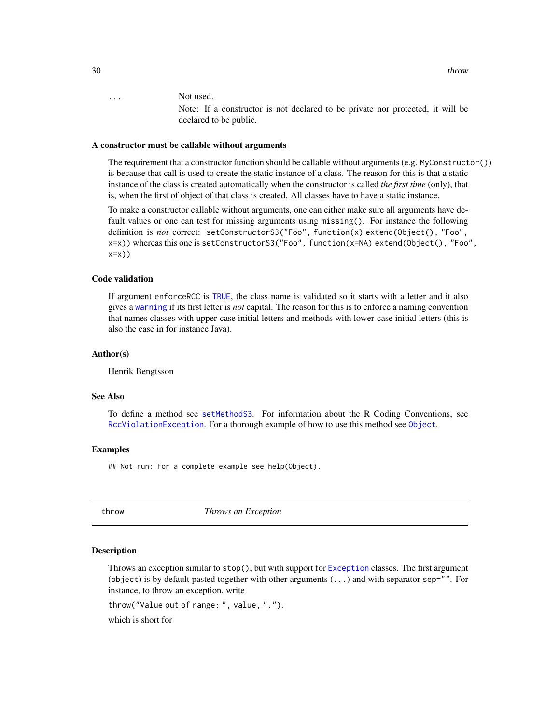<span id="page-29-0"></span>30 throw the state of the state of the state of the state of the state of the state of the state of the state of the state of the state of the state of the state of the state of the state of the state of the state of the s

... Not used.

Note: If a constructor is not declared to be private nor protected, it will be declared to be public.

#### A constructor must be callable without arguments

The requirement that a constructor function should be callable without arguments (e.g.  $MyConstant()$ ) is because that call is used to create the static instance of a class. The reason for this is that a static instance of the class is created automatically when the constructor is called *the first time* (only), that is, when the first of object of that class is created. All classes have to have a static instance.

To make a constructor callable without arguments, one can either make sure all arguments have default values or one can test for missing arguments using missing(). For instance the following definition is *not* correct: setConstructorS3("Foo", function(x) extend(Object(), "Foo", x=x)) whereas this one is setConstructorS3("Foo", function(x=NA) extend(Object(), "Foo", x=x))

# Code validation

If argument enforceRCC is [TRUE](#page-0-0), the class name is validated so it starts with a letter and it also gives a [warning](#page-0-0) if its first letter is *not* capital. The reason for this is to enforce a naming convention that names classes with upper-case initial letters and methods with lower-case initial letters (this is also the case in for instance Java).

#### Author(s)

Henrik Bengtsson

### See Also

To define a method see [setMethodS3](#page-0-0). For information about the R Coding Conventions, see [RccViolationException](#page-0-0). For a thorough example of how to use this method see [Object](#page-15-1).

#### Examples

## Not run: For a complete example see help(Object).

<span id="page-29-1"></span>

throw *Throws an Exception*

#### Description

Throws an exception similar to stop(), but with support for [Exception](#page-4-1) classes. The first argument (object) is by default pasted together with other arguments  $(\ldots)$  and with separator sep="". For instance, to throw an exception, write

throw("Value out of range: ", value, ".").

which is short for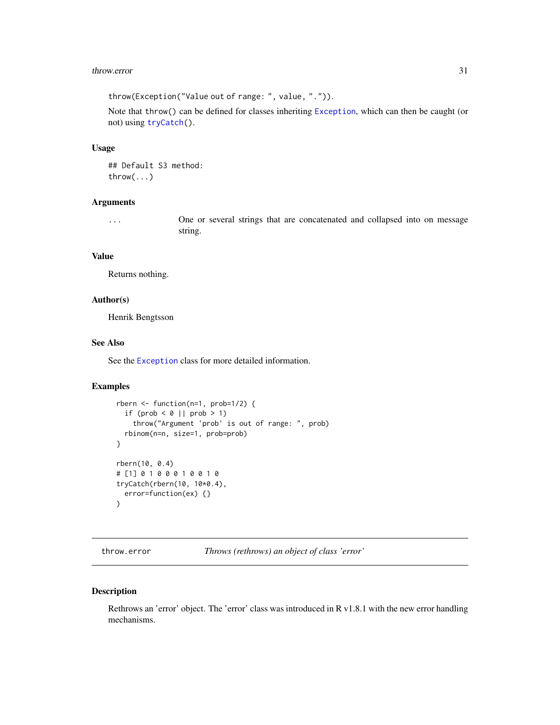#### <span id="page-30-0"></span>throw.error 31

throw(Exception("Value out of range: ", value, ".")).

Note that throw() can be defined for classes inheriting [Exception](#page-4-1), which can then be caught (or not) using [tryCatch\(](#page-0-0)).

#### Usage

```
## Default S3 method:
throw(...)
```
### Arguments

... One or several strings that are concatenated and collapsed into on message string.

# Value

Returns nothing.

# Author(s)

Henrik Bengtsson

#### See Also

See the [Exception](#page-4-1) class for more detailed information.

#### Examples

```
rbern <- function(n=1, prob=1/2) {
  if (prob \leq \emptyset || prob > 1)
    throw("Argument 'prob' is out of range: ", prob)
  rbinom(n=n, size=1, prob=prob)
}
rbern(10, 0.4)
# [1] 0 1 0 0 0 1 0 0 1 0
tryCatch(rbern(10, 10*0.4),
 error=function(ex) {}
\lambda
```
throw.error *Throws (rethrows) an object of class 'error'*

#### Description

Rethrows an 'error' object. The 'error' class was introduced in R v1.8.1 with the new error handling mechanisms.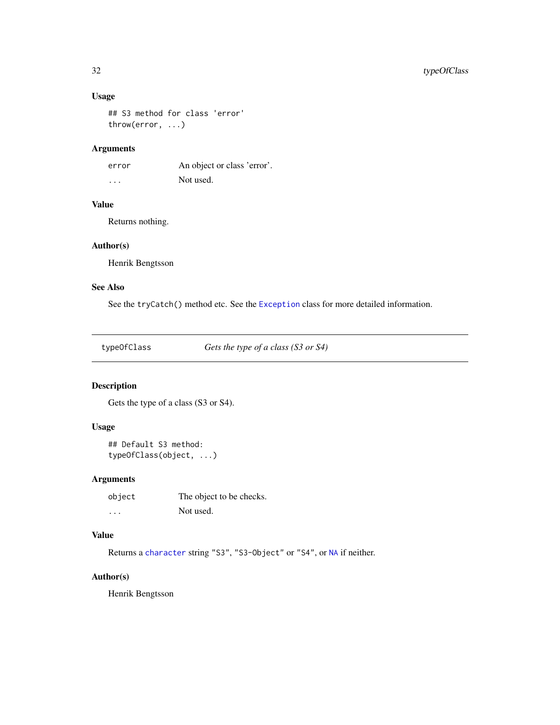# <span id="page-31-0"></span>Usage

```
## S3 method for class 'error'
throw(error, ...)
```
# Arguments

error An object or class 'error'. ... Not used.

# Value

Returns nothing.

# Author(s)

Henrik Bengtsson

# See Also

See the tryCatch() method etc. See the [Exception](#page-4-1) class for more detailed information.

typeOfClass *Gets the type of a class (S3 or S4)*

# Description

Gets the type of a class (S3 or S4).

# Usage

```
## Default S3 method:
typeOfClass(object, ...)
```
# Arguments

| object                  | The object to be checks. |
|-------------------------|--------------------------|
| $\cdot$ $\cdot$ $\cdot$ | Not used.                |

# Value

Returns a [character](#page-0-0) string "S3", "S3-Object" or "S4", or [NA](#page-0-0) if neither.

# Author(s)

Henrik Bengtsson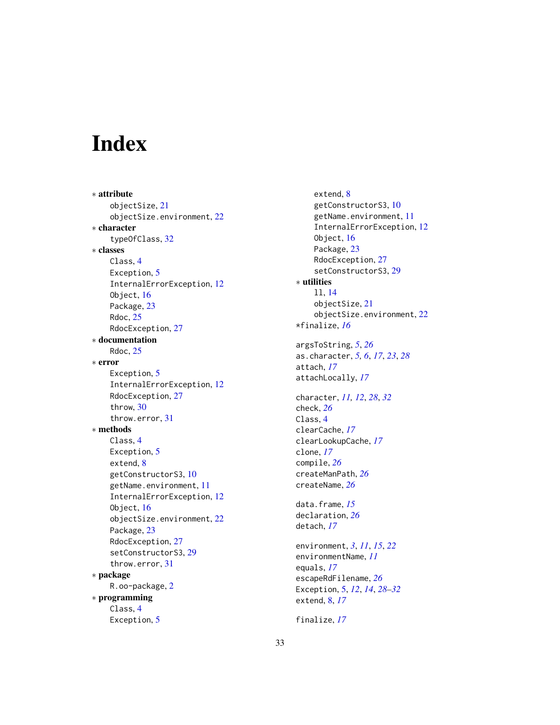# <span id="page-32-0"></span>Index

∗ attribute objectSize, [21](#page-20-0) objectSize.environment, [22](#page-21-0) ∗ character typeOfClass, [32](#page-31-0) ∗ classes Class, [4](#page-3-0) Exception, [5](#page-4-0) InternalErrorException, [12](#page-11-0) Object, [16](#page-15-0) Package, [23](#page-22-0) Rdoc, [25](#page-24-0) RdocException, [27](#page-26-0) ∗ documentation Rdoc, [25](#page-24-0) ∗ error Exception, [5](#page-4-0) InternalErrorException, [12](#page-11-0) RdocException, [27](#page-26-0) throw, [30](#page-29-0) throw.error, [31](#page-30-0) ∗ methods Class, [4](#page-3-0) Exception, [5](#page-4-0) extend, [8](#page-7-0) getConstructorS3, [10](#page-9-0) getName.environment, [11](#page-10-0) InternalErrorException, [12](#page-11-0) Object, [16](#page-15-0) objectSize.environment, [22](#page-21-0) Package, [23](#page-22-0) RdocException, [27](#page-26-0) setConstructorS3, [29](#page-28-0) throw.error, [31](#page-30-0) ∗ package R.oo-package, [2](#page-1-0) ∗ programming Class, [4](#page-3-0) Exception, [5](#page-4-0)

extend, [8](#page-7-0) getConstructorS3, [10](#page-9-0) getName.environment, [11](#page-10-0) InternalErrorException, [12](#page-11-0) Object, [16](#page-15-0) Package, [23](#page-22-0) RdocException, [27](#page-26-0) setConstructorS3, [29](#page-28-0) ∗ utilities ll, [14](#page-13-0) objectSize, [21](#page-20-0) objectSize.environment, [22](#page-21-0) \*finalize, *[16](#page-15-0)* argsToString, *[5](#page-4-0)*, *[26](#page-25-0)* as.character, *[5,](#page-4-0) [6](#page-5-0)*, *[17](#page-16-0)*, *[23](#page-22-0)*, *[28](#page-27-0)* attach, *[17](#page-16-0)* attachLocally, *[17](#page-16-0)* character, *[11,](#page-10-0) [12](#page-11-0)*, *[28](#page-27-0)*, *[32](#page-31-0)* check, *[26](#page-25-0)* Class, [4](#page-3-0) clearCache, *[17](#page-16-0)* clearLookupCache, *[17](#page-16-0)* clone, *[17](#page-16-0)* compile, *[26](#page-25-0)* createManPath, *[26](#page-25-0)* createName, *[26](#page-25-0)* data.frame, *[15](#page-14-0)* declaration, *[26](#page-25-0)* detach, *[17](#page-16-0)* environment, *[3](#page-2-0)*, *[11](#page-10-0)*, *[15](#page-14-0)*, *[22](#page-21-0)* environmentName, *[11](#page-10-0)* equals, *[17](#page-16-0)* escapeRdFilename, *[26](#page-25-0)* Exception, [5,](#page-4-0) *[12](#page-11-0)*, *[14](#page-13-0)*, *[28](#page-27-0)[–32](#page-31-0)* extend, [8,](#page-7-0) *[17](#page-16-0)* finalize, *[17](#page-16-0)*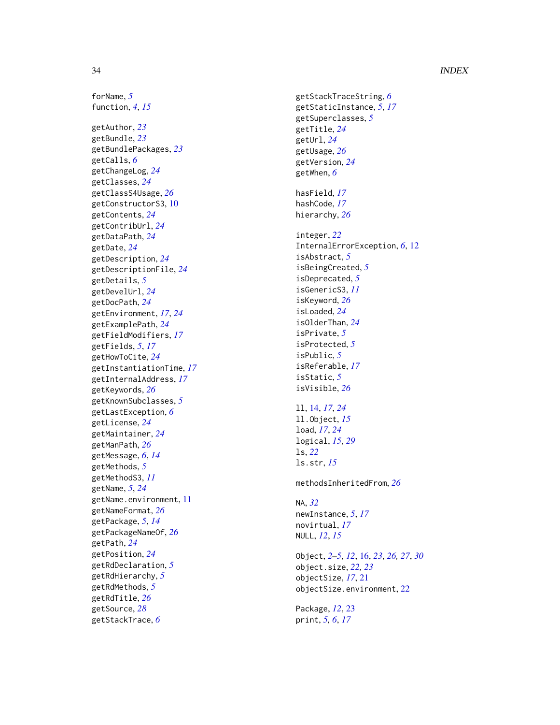# 34 INDEX

forName , *[5](#page-4-0)* function , *[4](#page-3-0)* , *[15](#page-14-0)* getAuthor , *[23](#page-22-0)* getBundle , *[23](#page-22-0)* getBundlePackages , *[23](#page-22-0)* getCalls , *[6](#page-5-0)* getChangeLog , *[24](#page-23-0)* getClasses , *[24](#page-23-0)* getClassS4Usage , *[26](#page-25-0)* getConstructorS3 , [10](#page-9-0) getContents , *[24](#page-23-0)* getContribUrl , *[24](#page-23-0)* getDataPath , *[24](#page-23-0)* getDate , *[24](#page-23-0)* getDescription , *[24](#page-23-0)* getDescriptionFile , *[24](#page-23-0)* getDetails , *[5](#page-4-0)* getDevelUrl , *[24](#page-23-0)* getDocPath , *[24](#page-23-0)* getEnvironment , *[17](#page-16-0)* , *[24](#page-23-0)* getExamplePath , *[24](#page-23-0)* getFieldModifiers , *[17](#page-16-0)* getFields , *[5](#page-4-0)* , *[17](#page-16-0)* getHowToCite , *[24](#page-23-0)* getInstantiationTime , *[17](#page-16-0)* getInternalAddress , *[17](#page-16-0)* getKeywords , *[26](#page-25-0)* getKnownSubclasses , *[5](#page-4-0)* getLastException , *[6](#page-5-0)* getLicense , *[24](#page-23-0)* getMaintainer , *[24](#page-23-0)* getManPath , *[26](#page-25-0)* getMessage , *[6](#page-5-0)* , *[14](#page-13-0)* getMethods , *[5](#page-4-0)* getMethodS3 , *[11](#page-10-0)* getName , *[5](#page-4-0)* , *[24](#page-23-0)* getName.environment, [11](#page-10-0) getNameFormat , *[26](#page-25-0)* getPackage , *[5](#page-4-0)* , *[14](#page-13-0)* getPackageNameOf , *[26](#page-25-0)* getPath , *[24](#page-23-0)* getPosition , *[24](#page-23-0)* getRdDeclaration , *[5](#page-4-0)* getRdHierarchy , *[5](#page-4-0)* getRdMethods , *[5](#page-4-0)* getRdTitle , *[26](#page-25-0)* getSource , *[28](#page-27-0)* getStackTrace , *[6](#page-5-0)*

getStackTraceString , *[6](#page-5-0)* getStaticInstance , *[5](#page-4-0)* , *[17](#page-16-0)* getSuperclasses , *[5](#page-4-0)* getTitle , *[24](#page-23-0)* getUrl , *[24](#page-23-0)* getUsage , *[26](#page-25-0)* getVersion , *[24](#page-23-0)* getWhen , *[6](#page-5-0)* hasField , *[17](#page-16-0)* hashCode , *[17](#page-16-0)* hierarchy , *[26](#page-25-0)* integer , *[22](#page-21-0)* InternalErrorException , *[6](#page-5-0)* , [12](#page-11-0) isAbstract , *[5](#page-4-0)* isBeingCreated , *[5](#page-4-0)* isDeprecated , *[5](#page-4-0)* isGenericS3 , *[11](#page-10-0)* isKeyword , *[26](#page-25-0)* isLoaded , *[24](#page-23-0)* isOlderThan , *[24](#page-23-0)* isPrivate , *[5](#page-4-0)* isProtected , *[5](#page-4-0)* isPublic , *[5](#page-4-0)* isReferable , *[17](#page-16-0)* isStatic , *[5](#page-4-0)* isVisible , *[26](#page-25-0)* ll , [14](#page-13-0) , *[17](#page-16-0)* , *[24](#page-23-0)* ll.Object , *[15](#page-14-0)* load , *[17](#page-16-0)* , *[24](#page-23-0)* logical , *[15](#page-14-0)* , *[29](#page-28-0)* ls , *[22](#page-21-0)* ls.str , *[15](#page-14-0)* methodsInheritedFrom , *[26](#page-25-0)* NA , *[32](#page-31-0)* newInstance , *[5](#page-4-0)* , *[17](#page-16-0)* novirtual , *[17](#page-16-0)* NULL , *[12](#page-11-0)* , *[15](#page-14-0)* Object , *[2](#page-1-0) – [5](#page-4-0)* , *[12](#page-11-0)* , [16](#page-15-0) , *[23](#page-22-0)* , *[26,](#page-25-0) [27](#page-26-0)* , *[30](#page-29-0)* object.size , *[22](#page-21-0) , [23](#page-22-0)* objectSize , *[17](#page-16-0)* , [21](#page-20-0) objectSize.environment , [22](#page-21-0) Package , *[12](#page-11-0)* , [23](#page-22-0) print , *[5](#page-4-0) , [6](#page-5-0)* , *[17](#page-16-0)*